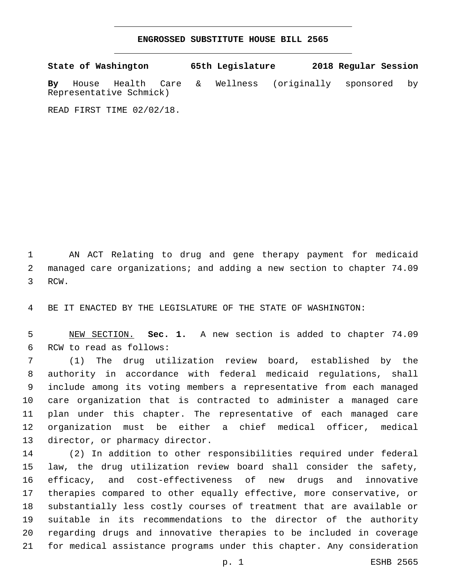## **ENGROSSED SUBSTITUTE HOUSE BILL 2565**

**State of Washington 65th Legislature 2018 Regular Session By** House Health Care & Wellness (originally sponsored by Representative Schmick)

READ FIRST TIME 02/02/18.

 AN ACT Relating to drug and gene therapy payment for medicaid managed care organizations; and adding a new section to chapter 74.09 3 RCW.

BE IT ENACTED BY THE LEGISLATURE OF THE STATE OF WASHINGTON:

 NEW SECTION. **Sec. 1.** A new section is added to chapter 74.09 6 RCW to read as follows:

 (1) The drug utilization review board, established by the authority in accordance with federal medicaid regulations, shall include among its voting members a representative from each managed care organization that is contracted to administer a managed care plan under this chapter. The representative of each managed care organization must be either a chief medical officer, medical 13 director, or pharmacy director.

 (2) In addition to other responsibilities required under federal law, the drug utilization review board shall consider the safety, efficacy, and cost-effectiveness of new drugs and innovative therapies compared to other equally effective, more conservative, or substantially less costly courses of treatment that are available or suitable in its recommendations to the director of the authority regarding drugs and innovative therapies to be included in coverage for medical assistance programs under this chapter. Any consideration